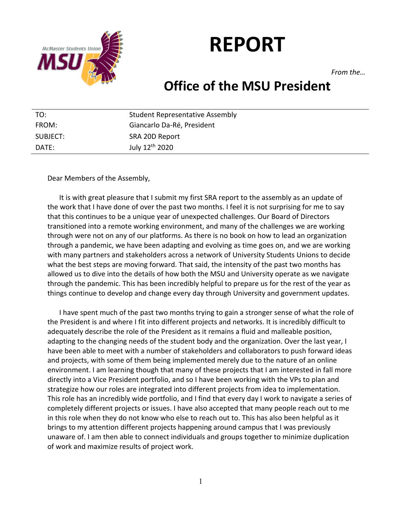

# **REPORT**

*From the…*

# **Office of the MSU President**

| TO:      | Student Representative Assembly |
|----------|---------------------------------|
| FROM:    | Giancarlo Da-Ré, President      |
| SUBJECT: | SRA 20D Report                  |
| DATE:    | July 12 <sup>th</sup> 2020      |

Dear Members of the Assembly,

It is with great pleasure that I submit my first SRA report to the assembly as an update of the work that I have done of over the past two months. I feel it is not surprising for me to say that this continues to be a unique year of unexpected challenges. Our Board of Directors transitioned into a remote working environment, and many of the challenges we are working through were not on any of our platforms. As there is no book on how to lead an organization through a pandemic, we have been adapting and evolving as time goes on, and we are working with many partners and stakeholders across a network of University Students Unions to decide what the best steps are moving forward. That said, the intensity of the past two months has allowed us to dive into the details of how both the MSU and University operate as we navigate through the pandemic. This has been incredibly helpful to prepare us for the rest of the year as things continue to develop and change every day through University and government updates.

I have spent much of the past two months trying to gain a stronger sense of what the role of the President is and where I fit into different projects and networks. It is incredibly difficult to adequately describe the role of the President as it remains a fluid and malleable position, adapting to the changing needs of the student body and the organization. Over the last year, I have been able to meet with a number of stakeholders and collaborators to push forward ideas and projects, with some of them being implemented merely due to the nature of an online environment. I am learning though that many of these projects that I am interested in fall more directly into a Vice President portfolio, and so I have been working with the VPs to plan and strategize how our roles are integrated into different projects from idea to implementation. This role has an incredibly wide portfolio, and I find that every day I work to navigate a series of completely different projects or issues. I have also accepted that many people reach out to me in this role when they do not know who else to reach out to. This has also been helpful as it brings to my attention different projects happening around campus that I was previously unaware of. I am then able to connect individuals and groups together to minimize duplication of work and maximize results of project work.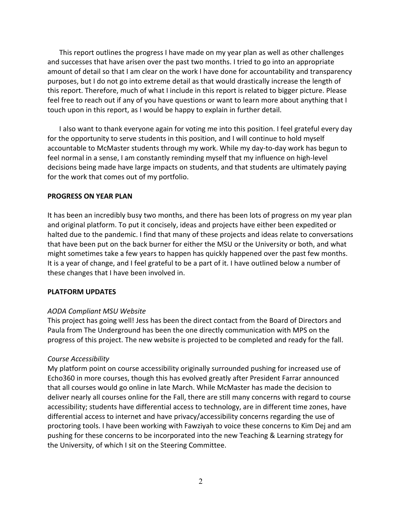This report outlines the progress I have made on my year plan as well as other challenges and successes that have arisen over the past two months. I tried to go into an appropriate amount of detail so that I am clear on the work I have done for accountability and transparency purposes, but I do not go into extreme detail as that would drastically increase the length of this report. Therefore, much of what I include in this report is related to bigger picture. Please feel free to reach out if any of you have questions or want to learn more about anything that I touch upon in this report, as I would be happy to explain in further detail.

I also want to thank everyone again for voting me into this position. I feel grateful every day for the opportunity to serve students in this position, and I will continue to hold myself accountable to McMaster students through my work. While my day-to-day work has begun to feel normal in a sense, I am constantly reminding myself that my influence on high-level decisions being made have large impacts on students, and that students are ultimately paying for the work that comes out of my portfolio.

#### **PROGRESS ON YEAR PLAN**

It has been an incredibly busy two months, and there has been lots of progress on my year plan and original platform. To put it concisely, ideas and projects have either been expedited or halted due to the pandemic. I find that many of these projects and ideas relate to conversations that have been put on the back burner for either the MSU or the University or both, and what might sometimes take a few years to happen has quickly happened over the past few months. It is a year of change, and I feel grateful to be a part of it. I have outlined below a number of these changes that I have been involved in.

#### **PLATFORM UPDATES**

#### *AODA Compliant MSU Website*

This project has going well! Jess has been the direct contact from the Board of Directors and Paula from The Underground has been the one directly communication with MPS on the progress of this project. The new website is projected to be completed and ready for the fall.

#### *Course Accessibility*

My platform point on course accessibility originally surrounded pushing for increased use of Echo360 in more courses, though this has evolved greatly after President Farrar announced that all courses would go online in late March. While McMaster has made the decision to deliver nearly all courses online for the Fall, there are still many concerns with regard to course accessibility; students have differential access to technology, are in different time zones, have differential access to internet and have privacy/accessibility concerns regarding the use of proctoring tools. I have been working with Fawziyah to voice these concerns to Kim Dej and am pushing for these concerns to be incorporated into the new Teaching & Learning strategy for the University, of which I sit on the Steering Committee.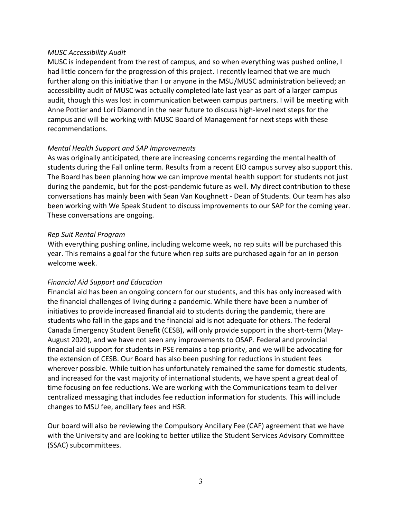# *MUSC Accessibility Audit*

MUSC is independent from the rest of campus, and so when everything was pushed online, I had little concern for the progression of this project. I recently learned that we are much further along on this initiative than I or anyone in the MSU/MUSC administration believed; an accessibility audit of MUSC was actually completed late last year as part of a larger campus audit, though this was lost in communication between campus partners. I will be meeting with Anne Pottier and Lori Diamond in the near future to discuss high-level next steps for the campus and will be working with MUSC Board of Management for next steps with these recommendations.

# *Mental Health Support and SAP Improvements*

As was originally anticipated, there are increasing concerns regarding the mental health of students during the Fall online term. Results from a recent EIO campus survey also support this. The Board has been planning how we can improve mental health support for students not just during the pandemic, but for the post-pandemic future as well. My direct contribution to these conversations has mainly been with Sean Van Koughnett - Dean of Students. Our team has also been working with We Speak Student to discuss improvements to our SAP for the coming year. These conversations are ongoing.

# *Rep Suit Rental Program*

With everything pushing online, including welcome week, no rep suits will be purchased this year. This remains a goal for the future when rep suits are purchased again for an in person welcome week.

# *Financial Aid Support and Education*

Financial aid has been an ongoing concern for our students, and this has only increased with the financial challenges of living during a pandemic. While there have been a number of initiatives to provide increased financial aid to students during the pandemic, there are students who fall in the gaps and the financial aid is not adequate for others. The federal Canada Emergency Student Benefit (CESB), will only provide support in the short-term (May-August 2020), and we have not seen any improvements to OSAP. Federal and provincial financial aid support for students in PSE remains a top priority, and we will be advocating for the extension of CESB. Our Board has also been pushing for reductions in student fees wherever possible. While tuition has unfortunately remained the same for domestic students, and increased for the vast majority of international students, we have spent a great deal of time focusing on fee reductions. We are working with the Communications team to deliver centralized messaging that includes fee reduction information for students. This will include changes to MSU fee, ancillary fees and HSR.

Our board will also be reviewing the Compulsory Ancillary Fee (CAF) agreement that we have with the University and are looking to better utilize the Student Services Advisory Committee (SSAC) subcommittees.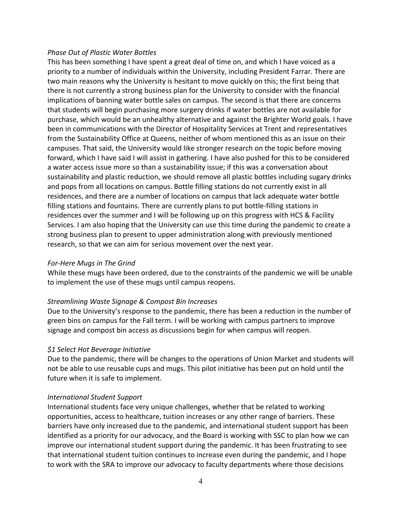#### *Phase Out of Plastic Water Bottles*

This has been something I have spent a great deal of time on, and which I have voiced as a priority to a number of individuals within the University, including President Farrar. There are two main reasons why the University is hesitant to move quickly on this; the first being that there is not currently a strong business plan for the University to consider with the financial implications of banning water bottle sales on campus. The second is that there are concerns that students will begin purchasing more surgery drinks if water bottles are not available for purchase, which would be an unhealthy alternative and against the Brighter World goals. I have been in communications with the Director of Hospitality Services at Trent and representatives from the Sustainability Office at Queens, neither of whom mentioned this as an issue on their campuses. That said, the University would like stronger research on the topic before moving forward, which I have said I will assist in gathering. I have also pushed for this to be considered a water access issue more so than a sustainability issue; if this was a conversation about sustainability and plastic reduction, we should remove all plastic bottles including sugary drinks and pops from all locations on campus. Bottle filling stations do not currently exist in all residences, and there are a number of locations on campus that lack adequate water bottle filling stations and fountains. There are currently plans to put bottle-filling stations in residences over the summer and I will be following up on this progress with HCS & Facility Services. I am also hoping that the University can use this time during the pandemic to create a strong business plan to present to upper administration along with previously mentioned research, so that we can aim for serious movement over the next year.

#### *For-Here Mugs in The Grind*

While these mugs have been ordered, due to the constraints of the pandemic we will be unable to implement the use of these mugs until campus reopens.

#### *Streamlining Waste Signage & Compost Bin Increases*

Due to the University's response to the pandemic, there has been a reduction in the number of green bins on campus for the Fall term. I will be working with campus partners to improve signage and compost bin access as discussions begin for when campus will reopen.

# *\$1 Select Hot Beverage Initiative*

Due to the pandemic, there will be changes to the operations of Union Market and students will not be able to use reusable cups and mugs. This pilot initiative has been put on hold until the future when it is safe to implement.

#### *International Student Support*

International students face very unique challenges, whether that be related to working opportunities, access to healthcare, tuition increases or any other range of barriers. These barriers have only increased due to the pandemic, and international student support has been identified as a priority for our advocacy, and the Board is working with SSC to plan how we can improve our international student support during the pandemic. It has been frustrating to see that international student tuition continues to increase even during the pandemic, and I hope to work with the SRA to improve our advocacy to faculty departments where those decisions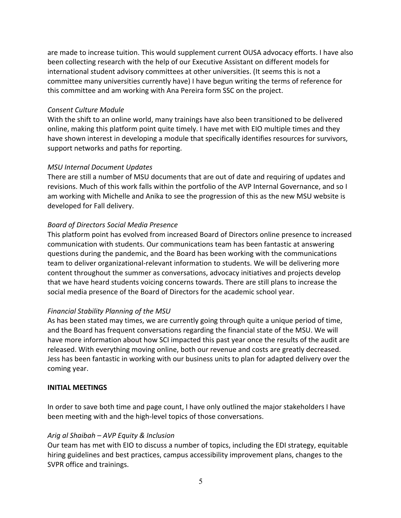are made to increase tuition. This would supplement current OUSA advocacy efforts. I have also been collecting research with the help of our Executive Assistant on different models for international student advisory committees at other universities. (It seems this is not a committee many universities currently have) I have begun writing the terms of reference for this committee and am working with Ana Pereira form SSC on the project.

#### *Consent Culture Module*

With the shift to an online world, many trainings have also been transitioned to be delivered online, making this platform point quite timely. I have met with EIO multiple times and they have shown interest in developing a module that specifically identifies resources for survivors, support networks and paths for reporting.

# *MSU Internal Document Updates*

There are still a number of MSU documents that are out of date and requiring of updates and revisions. Much of this work falls within the portfolio of the AVP Internal Governance, and so I am working with Michelle and Anika to see the progression of this as the new MSU website is developed for Fall delivery.

# *Board of Directors Social Media Presence*

This platform point has evolved from increased Board of Directors online presence to increased communication with students. Our communications team has been fantastic at answering questions during the pandemic, and the Board has been working with the communications team to deliver organizational-relevant information to students. We will be delivering more content throughout the summer as conversations, advocacy initiatives and projects develop that we have heard students voicing concerns towards. There are still plans to increase the social media presence of the Board of Directors for the academic school year.

# *Financial Stability Planning of the MSU*

As has been stated may times, we are currently going through quite a unique period of time, and the Board has frequent conversations regarding the financial state of the MSU. We will have more information about how SCI impacted this past year once the results of the audit are released. With everything moving online, both our revenue and costs are greatly decreased. Jess has been fantastic in working with our business units to plan for adapted delivery over the coming year.

# **INITIAL MEETINGS**

In order to save both time and page count, I have only outlined the major stakeholders I have been meeting with and the high-level topics of those conversations.

# *Arig al Shaibah – AVP Equity & Inclusion*

Our team has met with EIO to discuss a number of topics, including the EDI strategy, equitable hiring guidelines and best practices, campus accessibility improvement plans, changes to the SVPR office and trainings.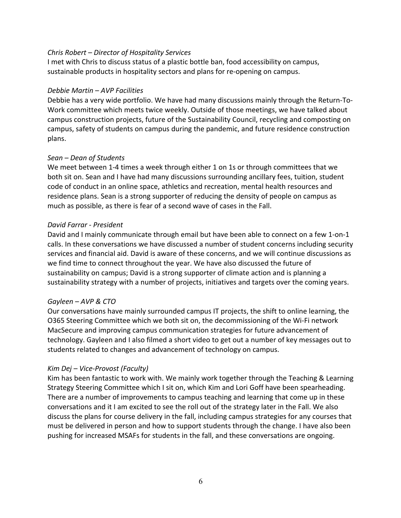# *Chris Robert – Director of Hospitality Services*

I met with Chris to discuss status of a plastic bottle ban, food accessibility on campus, sustainable products in hospitality sectors and plans for re-opening on campus.

#### *Debbie Martin – AVP Facilities*

Debbie has a very wide portfolio. We have had many discussions mainly through the Return-To-Work committee which meets twice weekly. Outside of those meetings, we have talked about campus construction projects, future of the Sustainability Council, recycling and composting on campus, safety of students on campus during the pandemic, and future residence construction plans.

# *Sean – Dean of Students*

We meet between 1-4 times a week through either 1 on 1s or through committees that we both sit on. Sean and I have had many discussions surrounding ancillary fees, tuition, student code of conduct in an online space, athletics and recreation, mental health resources and residence plans. Sean is a strong supporter of reducing the density of people on campus as much as possible, as there is fear of a second wave of cases in the Fall.

# *David Farrar - President*

David and I mainly communicate through email but have been able to connect on a few 1-on-1 calls. In these conversations we have discussed a number of student concerns including security services and financial aid. David is aware of these concerns, and we will continue discussions as we find time to connect throughout the year. We have also discussed the future of sustainability on campus; David is a strong supporter of climate action and is planning a sustainability strategy with a number of projects, initiatives and targets over the coming years.

#### *Gayleen – AVP & CTO*

Our conversations have mainly surrounded campus IT projects, the shift to online learning, the O365 Steering Committee which we both sit on, the decommissioning of the Wi-Fi network MacSecure and improving campus communication strategies for future advancement of technology. Gayleen and I also filmed a short video to get out a number of key messages out to students related to changes and advancement of technology on campus.

# *Kim Dej – Vice-Provost (Faculty)*

Kim has been fantastic to work with. We mainly work together through the Teaching & Learning Strategy Steering Committee which I sit on, which Kim and Lori Goff have been spearheading. There are a number of improvements to campus teaching and learning that come up in these conversations and it I am excited to see the roll out of the strategy later in the Fall. We also discuss the plans for course delivery in the fall, including campus strategies for any courses that must be delivered in person and how to support students through the change. I have also been pushing for increased MSAFs for students in the fall, and these conversations are ongoing.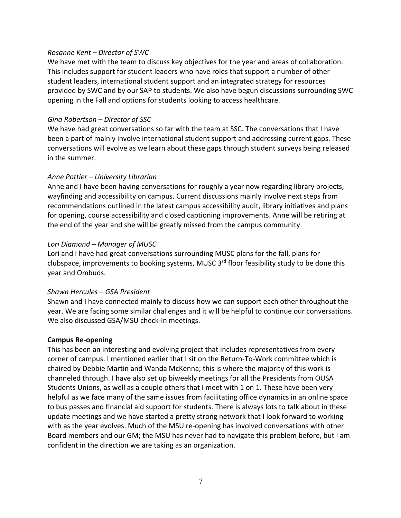#### *Rosanne Kent – Director of SWC*

We have met with the team to discuss key objectives for the year and areas of collaboration. This includes support for student leaders who have roles that support a number of other student leaders, international student support and an integrated strategy for resources provided by SWC and by our SAP to students. We also have begun discussions surrounding SWC opening in the Fall and options for students looking to access healthcare.

# *Gina Robertson – Director of SSC*

We have had great conversations so far with the team at SSC. The conversations that I have been a part of mainly involve international student support and addressing current gaps. These conversations will evolve as we learn about these gaps through student surveys being released in the summer.

# *Anne Pottier – University Librarian*

Anne and I have been having conversations for roughly a year now regarding library projects, wayfinding and accessibility on campus. Current discussions mainly involve next steps from recommendations outlined in the latest campus accessibility audit, library initiatives and plans for opening, course accessibility and closed captioning improvements. Anne will be retiring at the end of the year and she will be greatly missed from the campus community.

# *Lori Diamond – Manager of MUSC*

Lori and I have had great conversations surrounding MUSC plans for the fall, plans for clubspace, improvements to booking systems, MUSC 3<sup>rd</sup> floor feasibility study to be done this year and Ombuds.

#### *Shawn Hercules – GSA President*

Shawn and I have connected mainly to discuss how we can support each other throughout the year. We are facing some similar challenges and it will be helpful to continue our conversations. We also discussed GSA/MSU check-in meetings.

#### **Campus Re-opening**

This has been an interesting and evolving project that includes representatives from every corner of campus. I mentioned earlier that I sit on the Return-To-Work committee which is chaired by Debbie Martin and Wanda McKenna; this is where the majority of this work is channeled through. I have also set up biweekly meetings for all the Presidents from OUSA Students Unions, as well as a couple others that I meet with 1 on 1. These have been very helpful as we face many of the same issues from facilitating office dynamics in an online space to bus passes and financial aid support for students. There is always lots to talk about in these update meetings and we have started a pretty strong network that I look forward to working with as the year evolves. Much of the MSU re-opening has involved conversations with other Board members and our GM; the MSU has never had to navigate this problem before, but I am confident in the direction we are taking as an organization.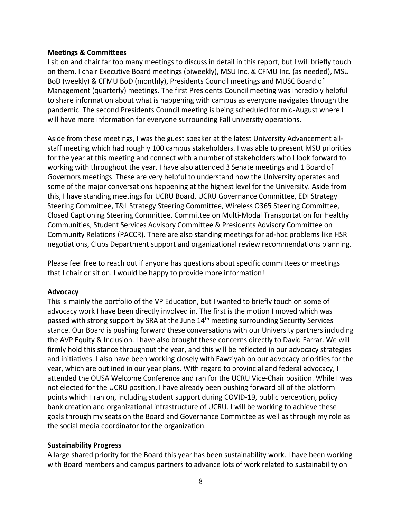#### **Meetings & Committees**

I sit on and chair far too many meetings to discuss in detail in this report, but I will briefly touch on them. I chair Executive Board meetings (biweekly), MSU Inc. & CFMU Inc. (as needed), MSU BoD (weekly) & CFMU BoD (monthly), Presidents Council meetings and MUSC Board of Management (quarterly) meetings. The first Presidents Council meeting was incredibly helpful to share information about what is happening with campus as everyone navigates through the pandemic. The second Presidents Council meeting is being scheduled for mid-August where I will have more information for everyone surrounding Fall university operations.

Aside from these meetings, I was the guest speaker at the latest University Advancement allstaff meeting which had roughly 100 campus stakeholders. I was able to present MSU priorities for the year at this meeting and connect with a number of stakeholders who I look forward to working with throughout the year. I have also attended 3 Senate meetings and 1 Board of Governors meetings. These are very helpful to understand how the University operates and some of the major conversations happening at the highest level for the University. Aside from this, I have standing meetings for UCRU Board, UCRU Governance Committee, EDI Strategy Steering Committee, T&L Strategy Steering Committee, Wireless O365 Steering Committee, Closed Captioning Steering Committee, Committee on Multi-Modal Transportation for Healthy Communities, Student Services Advisory Committee & Presidents Advisory Committee on Community Relations (PACCR). There are also standing meetings for ad-hoc problems like HSR negotiations, Clubs Department support and organizational review recommendations planning.

Please feel free to reach out if anyone has questions about specific committees or meetings that I chair or sit on. I would be happy to provide more information!

#### **Advocacy**

This is mainly the portfolio of the VP Education, but I wanted to briefly touch on some of advocacy work I have been directly involved in. The first is the motion I moved which was passed with strong support by SRA at the June 14<sup>th</sup> meeting surrounding Security Services stance. Our Board is pushing forward these conversations with our University partners including the AVP Equity & Inclusion. I have also brought these concerns directly to David Farrar. We will firmly hold this stance throughout the year, and this will be reflected in our advocacy strategies and initiatives. I also have been working closely with Fawziyah on our advocacy priorities for the year, which are outlined in our year plans. With regard to provincial and federal advocacy, I attended the OUSA Welcome Conference and ran for the UCRU Vice-Chair position. While I was not elected for the UCRU position, I have already been pushing forward all of the platform points which I ran on, including student support during COVID-19, public perception, policy bank creation and organizational infrastructure of UCRU. I will be working to achieve these goals through my seats on the Board and Governance Committee as well as through my role as the social media coordinator for the organization.

#### **Sustainability Progress**

A large shared priority for the Board this year has been sustainability work. I have been working with Board members and campus partners to advance lots of work related to sustainability on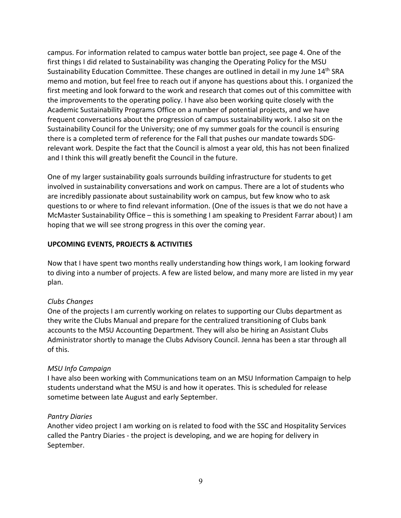campus. For information related to campus water bottle ban project, see page 4. One of the first things I did related to Sustainability was changing the Operating Policy for the MSU Sustainability Education Committee. These changes are outlined in detail in my June 14<sup>th</sup> SRA memo and motion, but feel free to reach out if anyone has questions about this. I organized the first meeting and look forward to the work and research that comes out of this committee with the improvements to the operating policy. I have also been working quite closely with the Academic Sustainability Programs Office on a number of potential projects, and we have frequent conversations about the progression of campus sustainability work. I also sit on the Sustainability Council for the University; one of my summer goals for the council is ensuring there is a completed term of reference for the Fall that pushes our mandate towards SDGrelevant work. Despite the fact that the Council is almost a year old, this has not been finalized and I think this will greatly benefit the Council in the future.

One of my larger sustainability goals surrounds building infrastructure for students to get involved in sustainability conversations and work on campus. There are a lot of students who are incredibly passionate about sustainability work on campus, but few know who to ask questions to or where to find relevant information. (One of the issues is that we do not have a McMaster Sustainability Office – this is something I am speaking to President Farrar about) I am hoping that we will see strong progress in this over the coming year.

#### **UPCOMING EVENTS, PROJECTS & ACTIVITIES**

Now that I have spent two months really understanding how things work, I am looking forward to diving into a number of projects. A few are listed below, and many more are listed in my year plan.

#### *Clubs Changes*

One of the projects I am currently working on relates to supporting our Clubs department as they write the Clubs Manual and prepare for the centralized transitioning of Clubs bank accounts to the MSU Accounting Department. They will also be hiring an Assistant Clubs Administrator shortly to manage the Clubs Advisory Council. Jenna has been a star through all of this.

# *MSU Info Campaign*

I have also been working with Communications team on an MSU Information Campaign to help students understand what the MSU is and how it operates. This is scheduled for release sometime between late August and early September.

#### *Pantry Diaries*

Another video project I am working on is related to food with the SSC and Hospitality Services called the Pantry Diaries - the project is developing, and we are hoping for delivery in September.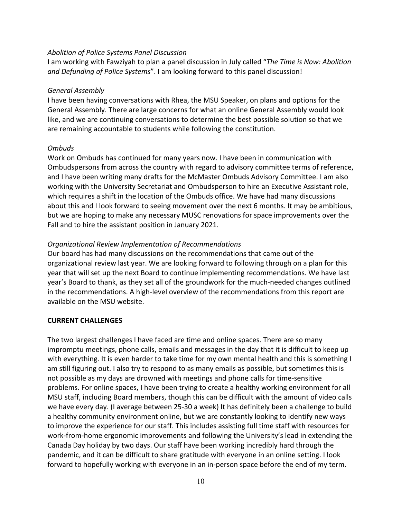#### *Abolition of Police Systems Panel Discussion*

I am working with Fawziyah to plan a panel discussion in July called "*The Time is Now: Abolition and Defunding of Police Systems*". I am looking forward to this panel discussion!

# *General Assembly*

I have been having conversations with Rhea, the MSU Speaker, on plans and options for the General Assembly. There are large concerns for what an online General Assembly would look like, and we are continuing conversations to determine the best possible solution so that we are remaining accountable to students while following the constitution.

# *Ombuds*

Work on Ombuds has continued for many years now. I have been in communication with Ombudspersons from across the country with regard to advisory committee terms of reference, and I have been writing many drafts for the McMaster Ombuds Advisory Committee. I am also working with the University Secretariat and Ombudsperson to hire an Executive Assistant role, which requires a shift in the location of the Ombuds office. We have had many discussions about this and I look forward to seeing movement over the next 6 months. It may be ambitious, but we are hoping to make any necessary MUSC renovations for space improvements over the Fall and to hire the assistant position in January 2021.

# *Organizational Review Implementation of Recommendations*

Our board has had many discussions on the recommendations that came out of the organizational review last year. We are looking forward to following through on a plan for this year that will set up the next Board to continue implementing recommendations. We have last year's Board to thank, as they set all of the groundwork for the much-needed changes outlined in the recommendations. A high-level overview of the recommendations from this report are available on the MSU website.

# **CURRENT CHALLENGES**

The two largest challenges I have faced are time and online spaces. There are so many impromptu meetings, phone calls, emails and messages in the day that it is difficult to keep up with everything. It is even harder to take time for my own mental health and this is something I am still figuring out. I also try to respond to as many emails as possible, but sometimes this is not possible as my days are drowned with meetings and phone calls for time-sensitive problems. For online spaces, I have been trying to create a healthy working environment for all MSU staff, including Board members, though this can be difficult with the amount of video calls we have every day. (I average between 25-30 a week) It has definitely been a challenge to build a healthy community environment online, but we are constantly looking to identify new ways to improve the experience for our staff. This includes assisting full time staff with resources for work-from-home ergonomic improvements and following the University's lead in extending the Canada Day holiday by two days. Our staff have been working incredibly hard through the pandemic, and it can be difficult to share gratitude with everyone in an online setting. I look forward to hopefully working with everyone in an in-person space before the end of my term.